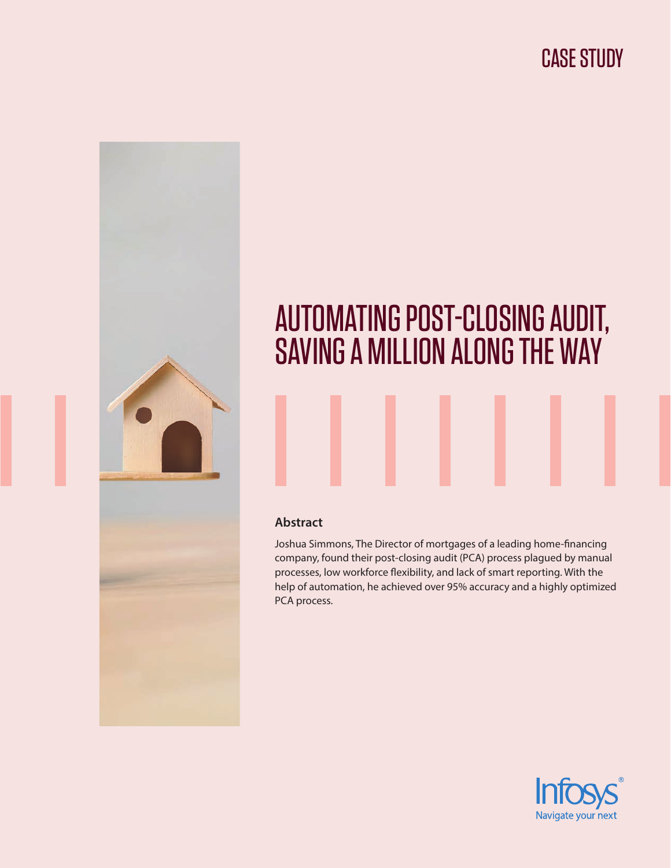

# AUTOMATING POST-CLOSING AUDIT, SAVING A MILLION ALONG THE WAY

#### **Abstract**

Joshua Simmons, The Director of mortgages of a leading home-financing company, found their post-closing audit (PCA) process plagued by manual processes, low workforce flexibility, and lack of smart reporting. With the help of automation, he achieved over 95% accuracy and a highly optimized PCA process.

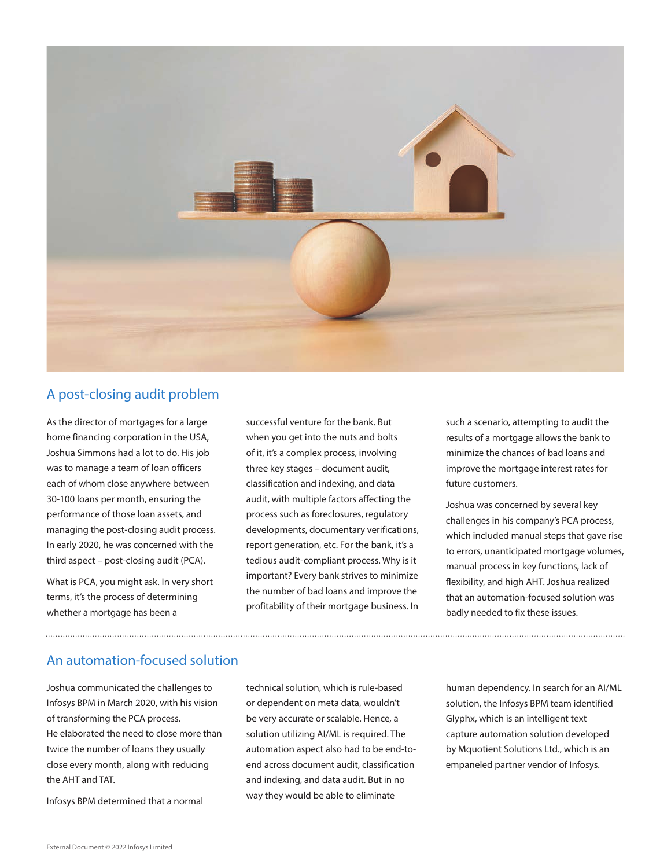

### A post-closing audit problem

As the director of mortgages for a large home financing corporation in the USA, Joshua Simmons had a lot to do. His job was to manage a team of loan officers each of whom close anywhere between 30-100 loans per month, ensuring the performance of those loan assets, and managing the post-closing audit process. In early 2020, he was concerned with the third aspect – post-closing audit (PCA).

What is PCA, you might ask. In very short terms, it's the process of determining whether a mortgage has been a

successful venture for the bank. But when you get into the nuts and bolts of it, it's a complex process, involving three key stages – document audit, classification and indexing, and data audit, with multiple factors affecting the process such as foreclosures, regulatory developments, documentary verifications, report generation, etc. For the bank, it's a tedious audit-compliant process. Why is it important? Every bank strives to minimize the number of bad loans and improve the profitability of their mortgage business. In such a scenario, attempting to audit the results of a mortgage allows the bank to minimize the chances of bad loans and improve the mortgage interest rates for future customers.

Joshua was concerned by several key challenges in his company's PCA process, which included manual steps that gave rise to errors, unanticipated mortgage volumes, manual process in key functions, lack of flexibility, and high AHT. Joshua realized that an automation-focused solution was badly needed to fix these issues.

## An automation-focused solution

Joshua communicated the challenges to Infosys BPM in March 2020, with his vision of transforming the PCA process. He elaborated the need to close more than twice the number of loans they usually close every month, along with reducing the AHT and TAT.

Infosys BPM determined that a normal

technical solution, which is rule-based or dependent on meta data, wouldn't be very accurate or scalable. Hence, a solution utilizing AI/ML is required. The automation aspect also had to be end-toend across document audit, classification and indexing, and data audit. But in no way they would be able to eliminate

human dependency. In search for an AI/ML solution, the Infosys BPM team identified Glyphx, which is an intelligent text capture automation solution developed by Mquotient Solutions Ltd., which is an empaneled partner vendor of Infosys.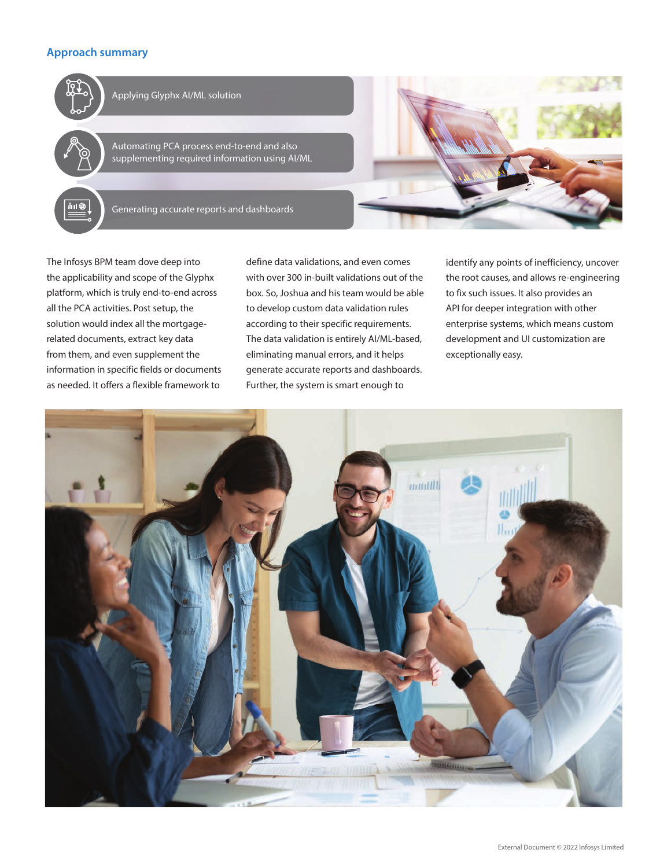#### **Approach summary**



The Infosys BPM team dove deep into the applicability and scope of the Glyphx platform, which is truly end-to-end across all the PCA activities. Post setup, the solution would index all the mortgagerelated documents, extract key data from them, and even supplement the information in specific fields or documents as needed. It offers a flexible framework to

define data validations, and even comes with over 300 in-built validations out of the box. So, Joshua and his team would be able to develop custom data validation rules according to their specific requirements. The data validation is entirely AI/ML-based, eliminating manual errors, and it helps generate accurate reports and dashboards. Further, the system is smart enough to

identify any points of inefficiency, uncover the root causes, and allows re-engineering to fix such issues. It also provides an API for deeper integration with other enterprise systems, which means custom development and UI customization are exceptionally easy.